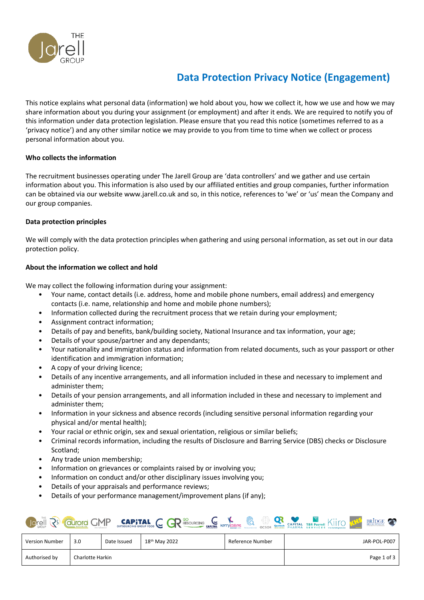

# **Data Protection Privacy Notice (Engagement)**

This notice explains what personal data (information) we hold about you, how we collect it, how we use and how we may share information about you during your assignment (or employment) and after it ends. We are required to notify you of this information under data protection legislation. Please ensure that you read this notice (sometimes referred to as a 'privacy notice') and any other similar notice we may provide to you from time to time when we collect or process personal information about you.

### **Who collects the information**

The recruitment businesses operating under The Jarell Group are 'data controllers' and we gather and use certain information about you. This information is also used by our affiliated entities and group companies, further information can be obtained via our website www.jarell.co.uk and so, in this notice, references to 'we' or 'us' mean the Company and our group companies.

### **Data protection principles**

We will comply with the data protection principles when gathering and using personal information, as set out in our data protection policy.

### **About the information we collect and hold**

We may collect the following information during your assignment:

- Your name, contact details (i.e. address, home and mobile phone numbers, email address) and emergency contacts (i.e. name, relationship and home and mobile phone numbers);
- Information collected during the recruitment process that we retain during your employment;
- Assignment contract information;
- Details of pay and benefits, bank/building society, National Insurance and tax information, your age;
- Details of your spouse/partner and any dependants;
- Your nationality and immigration status and information from related documents, such as your passport or other identification and immigration information;
- A copy of your driving licence;
- Details of any incentive arrangements, and all information included in these and necessary to implement and administer them;
- Details of your pension arrangements, and all information included in these and necessary to implement and administer them;
- Information in your sickness and absence records (including sensitive personal information regarding your physical and/or mental health);
- Your racial or ethnic origin, sex and sexual orientation, religious or similar beliefs;
- Criminal records information, including the results of Disclosure and Barring Service (DBS) checks or Disclosure Scotland;
- Any trade union membership;
- Information on grievances or complaints raised by or involving you;
- Information on conduct and/or other disciplinary issues involving you;
- Details of your appraisals and performance reviews;
- Details of your performance management/improvement plans (if any);

| JOINTHE RESPONSE COMP CAPITAL C CRESOURCING CAPITAL TO RESOURCE OF THE PRINCE SCRIPTIAL TO RESPONSE THE PRINCE OF BRIDGE |  |  |  |  |  |  |  |  |  |  |
|--------------------------------------------------------------------------------------------------------------------------|--|--|--|--|--|--|--|--|--|--|
|--------------------------------------------------------------------------------------------------------------------------|--|--|--|--|--|--|--|--|--|--|

| <b>Version Number</b> | 3.0              | Date Issued | 18 <sup>th</sup> May 2022 | Reference Number | JAR-POL-P007 |
|-----------------------|------------------|-------------|---------------------------|------------------|--------------|
| Authorised by         | Charlotte Harkin |             |                           | Page 1 of 3      |              |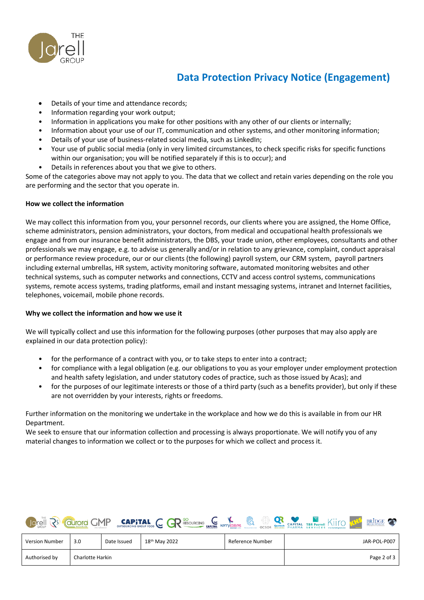

# **Data Protection Privacy Notice (Engagement)**

- Details of your time and attendance records;
- Information regarding your work output;
- Information in applications you make for other positions with any other of our clients or internally;
- Information about your use of our IT, communication and other systems, and other monitoring information;
- Details of your use of business-related social media, such as LinkedIn;
- Your use of public social media (only in very limited circumstances, to check specific risks for specific functions within our organisation; you will be notified separately if this is to occur); and
- Details in references about you that we give to others.

Some of the categories above may not apply to you. The data that we collect and retain varies depending on the role you are performing and the sector that you operate in.

## **How we collect the information**

We may collect this information from you, your personnel records, our clients where you are assigned, the Home Office, scheme administrators, pension administrators, your doctors, from medical and occupational health professionals we engage and from our insurance benefit administrators, the DBS, your trade union, other employees, consultants and other professionals we may engage, e.g. to advise us generally and/or in relation to any grievance, complaint, conduct appraisal or performance review procedure, our or our clients (the following) payroll system, our CRM system, payroll partners including external umbrellas, HR system, activity monitoring software, automated monitoring websites and other technical systems, such as computer networks and connections, CCTV and access control systems, communications systems, remote access systems, trading platforms, email and instant messaging systems, intranet and Internet facilities, telephones, voicemail, mobile phone records.

## **Why we collect the information and how we use it**

We will typically collect and use this information for the following purposes (other purposes that may also apply are explained in our data protection policy):

- for the performance of a contract with you, or to take steps to enter into a contract;
- for compliance with a legal obligation (e.g. our obligations to you as your employer under employment protection and health safety legislation, and under statutory codes of practice, such as those issued by Acas); and
- for the purposes of our legitimate interests or those of a third party (such as a benefits provider), but only if these are not overridden by your interests, rights or freedoms.

Further information on the monitoring we undertake in the workplace and how we do this is available in from our HR Department.

We seek to ensure that our information collection and processing is always proportionate. We will notify you of any material changes to information we collect or to the purposes for which we collect and process it.

|                       | <b>GMP</b> |             | <b>CAPITAL C RESOURCING CONTRA KETTYCOLLINS</b> |                  | OCSOR GARITAL TBR Payroll KIITO LANE<br>BRIDGE CO |
|-----------------------|------------|-------------|-------------------------------------------------|------------------|---------------------------------------------------|
| <b>Version Number</b> | 3.0        | Date Issued | 18 <sup>th</sup> May 2022                       | Reference Number | JAR-POL-P007                                      |

Authorised by Charlotte Harkin Page 2 of 3